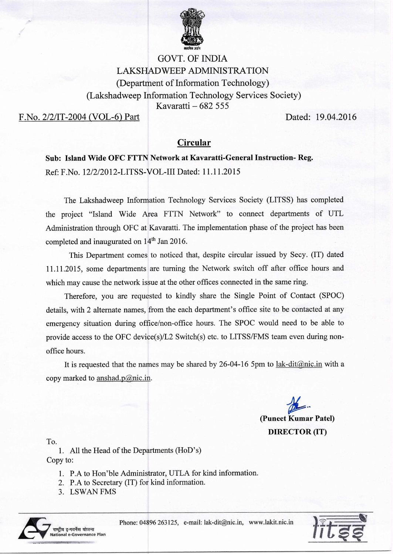

## GOVT. OF INDIA LAKSHADWEEP ADMINISTRATION (Department of Information Technology) (Lakshadweep Information Technology Services Society) Kavaratti — 682 555

F.No. 2/2/IT-2004 (VOL-6) Part Dated: 19.04.2016

## **Circular**

**Sub: Island Wide OFC FTTN Network at Kavaratti-General Instruction- Reg.**  Ref: F.No. 12/2/2012-LITSS-VOL-III Dated: 11.11.2015

The Lakshadweep Information Technology Services Society (LITSS) has completed the project "Island Wide Area FTTN Network" to connect departments of UTL Administration through OFC at Kavaratti. The implementation phase of the project has been completed and inaugurated on  $14<sup>th</sup>$  Jan 2016.

This Department comes to noticed that, despite circular issued by Secy. (IT) dated 11.11.2015, some departments are turning the Network switch off after office hours and which may cause the network issue at the other offices connected in the same ring.

Therefore, you are requested to kindly share the Single Point of Contact (SPOC) details, with 2 alternate names, from the each department's office site to be contacted at any emergency situation during office/non-office hours. The SPOC would need to be able to provide access to the OFC device(s)/L2 Switch(s) etc. to LITSS/FMS team even during nonoffice hours.

It is requested that the names may be shared by 26-04-16 5pm to lak-dit $(\partial \text{nic.in with a})$ copy marked to anshad.p@nic.in.

> **(Puneet Kumar Patel) DIRECTOR (IT)**

To.

1. All the Head of the Departments (HoD's) Copy to:

- 1. P.A to Hon'ble Administrator, UTLA for kind information.
- 2. P.A to Secretary (IT) for kind information.
- 3. LSWAN FMS



Phone: 04896 263125, e-mail: lak-dit@nic.in, www.lakit.nic.in